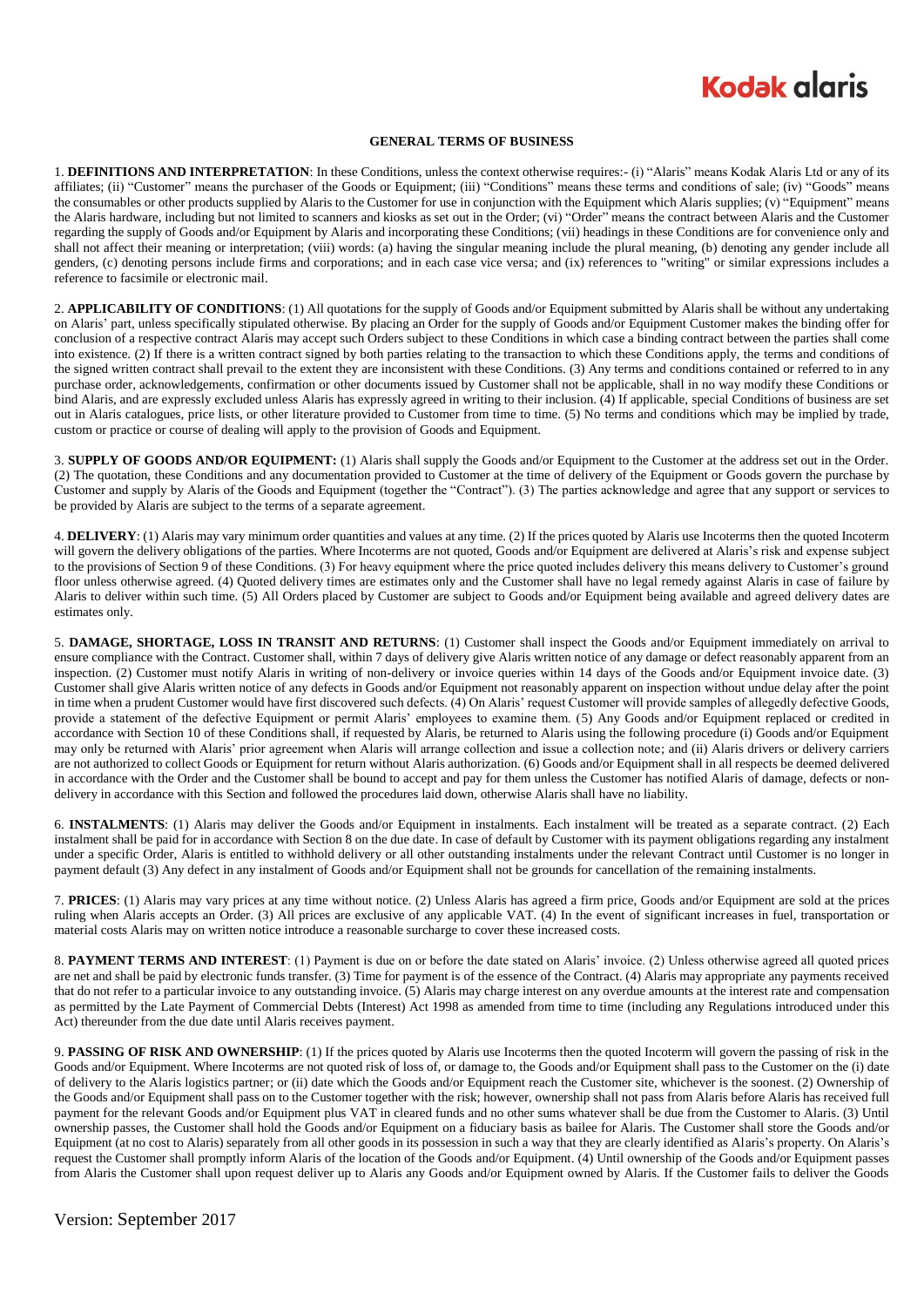## **Kodak glgris**

## **GENERAL TERMS OF BUSINESS**

1. **DEFINITIONS AND INTERPRETATION**: In these Conditions, unless the context otherwise requires:- (i) "Alaris" means Kodak Alaris Ltd or any of its affiliates; (ii) "Customer" means the purchaser of the Goods or Equipment; (iii) "Conditions" means these terms and conditions of sale; (iv) "Goods" means the consumables or other products supplied by Alaris to the Customer for use in conjunction with the Equipment which Alaris supplies; (v) "Equipment" means the Alaris hardware, including but not limited to scanners and kiosks as set out in the Order; (vi) "Order" means the contract between Alaris and the Customer regarding the supply of Goods and/or Equipment by Alaris and incorporating these Conditions; (vii) headings in these Conditions are for convenience only and shall not affect their meaning or interpretation; (viii) words: (a) having the singular meaning include the plural meaning, (b) denoting any gender include all genders, (c) denoting persons include firms and corporations; and in each case vice versa; and (ix) references to "writing" or similar expressions includes a reference to facsimile or electronic mail.

2. **APPLICABILITY OF CONDITIONS**: (1) All quotations for the supply of Goods and/or Equipment submitted by Alaris shall be without any undertaking on Alaris' part, unless specifically stipulated otherwise. By placing an Order for the supply of Goods and/or Equipment Customer makes the binding offer for conclusion of a respective contract Alaris may accept such Orders subject to these Conditions in which case a binding contract between the parties shall come into existence. (2) If there is a written contract signed by both parties relating to the transaction to which these Conditions apply, the terms and conditions of the signed written contract shall prevail to the extent they are inconsistent with these Conditions. (3) Any terms and conditions contained or referred to in any purchase order, acknowledgements, confirmation or other documents issued by Customer shall not be applicable, shall in no way modify these Conditions or bind Alaris, and are expressly excluded unless Alaris has expressly agreed in writing to their inclusion. (4) If applicable, special Conditions of business are set out in Alaris catalogues, price lists, or other literature provided to Customer from time to time. (5) No terms and conditions which may be implied by trade, custom or practice or course of dealing will apply to the provision of Goods and Equipment.

3. **SUPPLY OF GOODS AND/OR EQUIPMENT:** (1) Alaris shall supply the Goods and/or Equipment to the Customer at the address set out in the Order. (2) The quotation, these Conditions and any documentation provided to Customer at the time of delivery of the Equipment or Goods govern the purchase by Customer and supply by Alaris of the Goods and Equipment (together the "Contract"). (3) The parties acknowledge and agree that any support or services to be provided by Alaris are subject to the terms of a separate agreement.

4. **DELIVERY**: (1) Alaris may vary minimum order quantities and values at any time. (2) If the prices quoted by Alaris use Incoterms then the quoted Incoterm will govern the delivery obligations of the parties. Where Incoterms are not quoted, Goods and/or Equipment are delivered at Alaris's risk and expense subject to the provisions of Section 9 of these Conditions. (3) For heavy equipment where the price quoted includes delivery this means delivery to Customer's ground floor unless otherwise agreed. (4) Quoted delivery times are estimates only and the Customer shall have no legal remedy against Alaris in case of failure by Alaris to deliver within such time. (5) All Orders placed by Customer are subject to Goods and/or Equipment being available and agreed delivery dates are estimates only.

5. **DAMAGE, SHORTAGE, LOSS IN TRANSIT AND RETURNS**: (1) Customer shall inspect the Goods and/or Equipment immediately on arrival to ensure compliance with the Contract. Customer shall, within 7 days of delivery give Alaris written notice of any damage or defect reasonably apparent from an inspection. (2) Customer must notify Alaris in writing of non-delivery or invoice queries within 14 days of the Goods and/or Equipment invoice date. (3) Customer shall give Alaris written notice of any defects in Goods and/or Equipment not reasonably apparent on inspection without undue delay after the point in time when a prudent Customer would have first discovered such defects. (4) On Alaris' request Customer will provide samples of allegedly defective Goods, provide a statement of the defective Equipment or permit Alaris' employees to examine them. (5) Any Goods and/or Equipment replaced or credited in accordance with Section 10 of these Conditions shall, if requested by Alaris, be returned to Alaris using the following procedure (i) Goods and/or Equipment may only be returned with Alaris' prior agreement when Alaris will arrange collection and issue a collection note; and (ii) Alaris drivers or delivery carriers are not authorized to collect Goods or Equipment for return without Alaris authorization. (6) Goods and/or Equipment shall in all respects be deemed delivered in accordance with the Order and the Customer shall be bound to accept and pay for them unless the Customer has notified Alaris of damage, defects or nondelivery in accordance with this Section and followed the procedures laid down, otherwise Alaris shall have no liability.

6. **INSTALMENTS**: (1) Alaris may deliver the Goods and/or Equipment in instalments. Each instalment will be treated as a separate contract. (2) Each instalment shall be paid for in accordance with Section 8 on the due date. In case of default by Customer with its payment obligations regarding any instalment under a specific Order, Alaris is entitled to withhold delivery or all other outstanding instalments under the relevant Contract until Customer is no longer in payment default (3) Any defect in any instalment of Goods and/or Equipment shall not be grounds for cancellation of the remaining instalments.

7. **PRICES**: (1) Alaris may vary prices at any time without notice. (2) Unless Alaris has agreed a firm price, Goods and/or Equipment are sold at the prices ruling when Alaris accepts an Order. (3) All prices are exclusive of any applicable VAT. (4) In the event of significant increases in fuel, transportation or material costs Alaris may on written notice introduce a reasonable surcharge to cover these increased costs.

8. **PAYMENT TERMS AND INTEREST**: (1) Payment is due on or before the date stated on Alaris' invoice. (2) Unless otherwise agreed all quoted prices are net and shall be paid by electronic funds transfer. (3) Time for payment is of the essence of the Contract. (4) Alaris may appropriate any payments received that do not refer to a particular invoice to any outstanding invoice. (5) Alaris may charge interest on any overdue amounts at the interest rate and compensation as permitted by the Late Payment of Commercial Debts (Interest) Act 1998 as amended from time to time (including any Regulations introduced under this Act) thereunder from the due date until Alaris receives payment.

9. **PASSING OF RISK AND OWNERSHIP**: (1) If the prices quoted by Alaris use Incoterms then the quoted Incoterm will govern the passing of risk in the Goods and/or Equipment. Where Incoterms are not quoted risk of loss of, or damage to, the Goods and/or Equipment shall pass to the Customer on the (i) date of delivery to the Alaris logistics partner; or (ii) date which the Goods and/or Equipment reach the Customer site, whichever is the soonest. (2) Ownership of the Goods and/or Equipment shall pass on to the Customer together with the risk; however, ownership shall not pass from Alaris before Alaris has received full payment for the relevant Goods and/or Equipment plus VAT in cleared funds and no other sums whatever shall be due from the Customer to Alaris. (3) Until ownership passes, the Customer shall hold the Goods and/or Equipment on a fiduciary basis as bailee for Alaris. The Customer shall store the Goods and/or Equipment (at no cost to Alaris) separately from all other goods in its possession in such a way that they are clearly identified as Alaris's property. On Alaris's request the Customer shall promptly inform Alaris of the location of the Goods and/or Equipment. (4) Until ownership of the Goods and/or Equipment passes from Alaris the Customer shall upon request deliver up to Alaris any Goods and/or Equipment owned by Alaris. If the Customer fails to deliver the Goods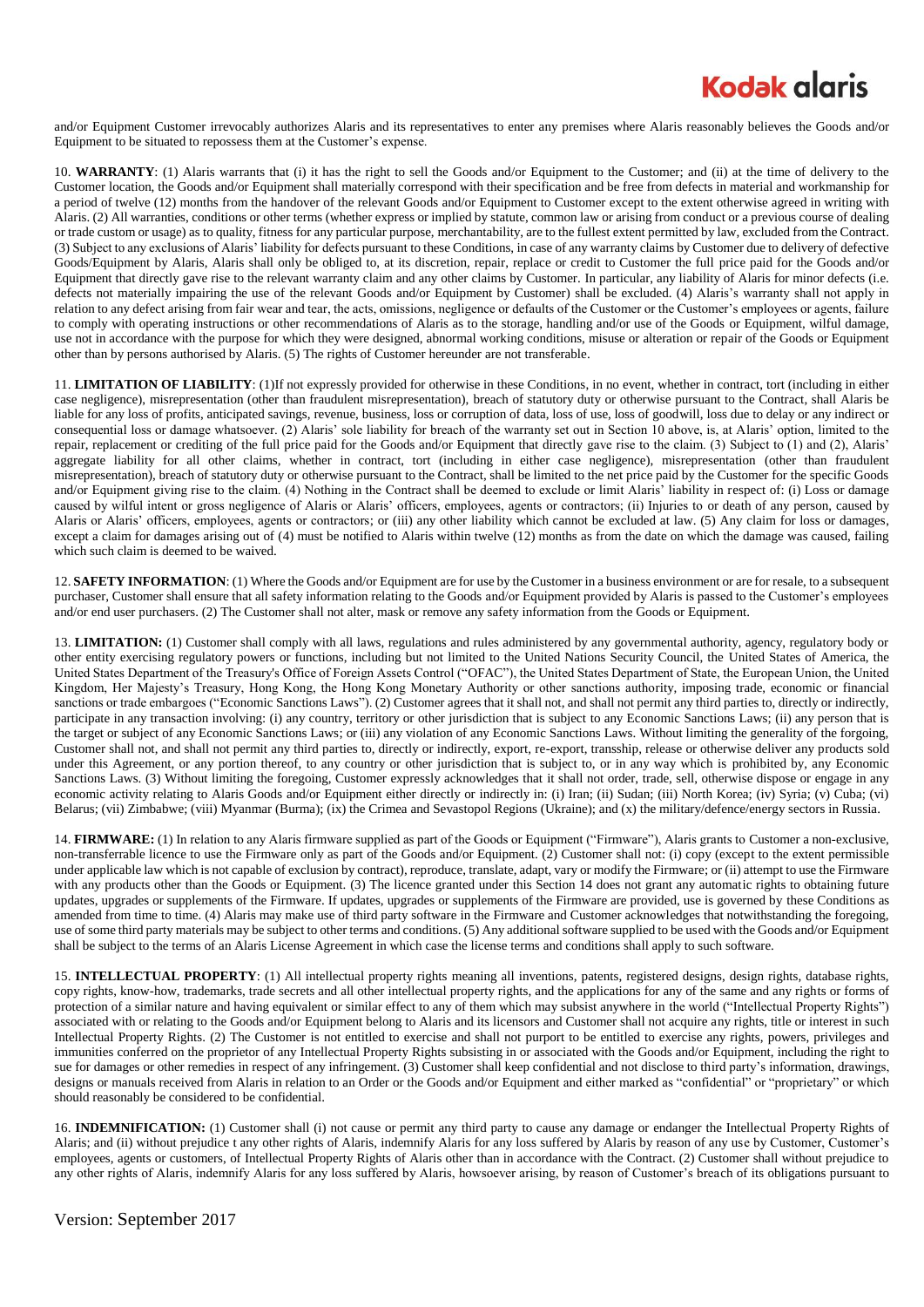

and/or Equipment Customer irrevocably authorizes Alaris and its representatives to enter any premises where Alaris reasonably believes the Goods and/or Equipment to be situated to repossess them at the Customer's expense.

10. **WARRANTY**: (1) Alaris warrants that (i) it has the right to sell the Goods and/or Equipment to the Customer; and (ii) at the time of delivery to the Customer location, the Goods and/or Equipment shall materially correspond with their specification and be free from defects in material and workmanship for a period of twelve (12) months from the handover of the relevant Goods and/or Equipment to Customer except to the extent otherwise agreed in writing with Alaris. (2) All warranties, conditions or other terms (whether express or implied by statute, common law or arising from conduct or a previous course of dealing or trade custom or usage) as to quality, fitness for any particular purpose, merchantability, are to the fullest extent permitted by law, excluded from the Contract. (3) Subject to any exclusions of Alaris' liability for defects pursuant to these Conditions, in case of any warranty claims by Customer due to delivery of defective Goods/Equipment by Alaris, Alaris shall only be obliged to, at its discretion, repair, replace or credit to Customer the full price paid for the Goods and/or Equipment that directly gave rise to the relevant warranty claim and any other claims by Customer. In particular, any liability of Alaris for minor defects (i.e. defects not materially impairing the use of the relevant Goods and/or Equipment by Customer) shall be excluded. (4) Alaris's warranty shall not apply in relation to any defect arising from fair wear and tear, the acts, omissions, negligence or defaults of the Customer or the Customer's employees or agents, failure to comply with operating instructions or other recommendations of Alaris as to the storage, handling and/or use of the Goods or Equipment, wilful damage, use not in accordance with the purpose for which they were designed, abnormal working conditions, misuse or alteration or repair of the Goods or Equipment other than by persons authorised by Alaris. (5) The rights of Customer hereunder are not transferable.

11. **LIMITATION OF LIABILITY**: (1)If not expressly provided for otherwise in these Conditions, in no event, whether in contract, tort (including in either case negligence), misrepresentation (other than fraudulent misrepresentation), breach of statutory duty or otherwise pursuant to the Contract, shall Alaris be liable for any loss of profits, anticipated savings, revenue, business, loss or corruption of data, loss of use, loss of goodwill, loss due to delay or any indirect or consequential loss or damage whatsoever. (2) Alaris' sole liability for breach of the warranty set out in Section 10 above, is, at Alaris' option, limited to the repair, replacement or crediting of the full price paid for the Goods and/or Equipment that directly gave rise to the claim. (3) Subject to (1) and (2), Alaris' aggregate liability for all other claims, whether in contract, tort (including in either case negligence), misrepresentation (other than fraudulent misrepresentation), breach of statutory duty or otherwise pursuant to the Contract, shall be limited to the net price paid by the Customer for the specific Goods and/or Equipment giving rise to the claim. (4) Nothing in the Contract shall be deemed to exclude or limit Alaris' liability in respect of: (i) Loss or damage caused by wilful intent or gross negligence of Alaris or Alaris' officers, employees, agents or contractors; (ii) Injuries to or death of any person, caused by Alaris or Alaris' officers, employees, agents or contractors; or (iii) any other liability which cannot be excluded at law. (5) Any claim for loss or damages, except a claim for damages arising out of (4) must be notified to Alaris within twelve (12) months as from the date on which the damage was caused, failing which such claim is deemed to be waived.

12. **SAFETY INFORMATION**: (1) Where the Goods and/or Equipment are for use by the Customer in a business environment or are for resale, to a subsequent purchaser, Customer shall ensure that all safety information relating to the Goods and/or Equipment provided by Alaris is passed to the Customer's employees and/or end user purchasers. (2) The Customer shall not alter, mask or remove any safety information from the Goods or Equipment.

13. **LIMITATION:** (1) Customer shall comply with all laws, regulations and rules administered by any governmental authority, agency, regulatory body or other entity exercising regulatory powers or functions, including but not limited to the United Nations Security Council, the United States of America, the United States Department of the Treasury's Office of Foreign Assets Control ("OFAC"), the United States Department of State, the European Union, the United Kingdom, Her Majesty's Treasury, Hong Kong, the Hong Kong Monetary Authority or other sanctions authority, imposing trade, economic or financial sanctions or trade embargoes ("Economic Sanctions Laws"). (2) Customer agrees that it shall not, and shall not permit any third parties to, directly or indirectly, participate in any transaction involving: (i) any country, territory or other jurisdiction that is subject to any Economic Sanctions Laws; (ii) any person that is the target or subject of any Economic Sanctions Laws; or (iii) any violation of any Economic Sanctions Laws. Without limiting the generality of the forgoing, Customer shall not, and shall not permit any third parties to, directly or indirectly, export, re-export, transship, release or otherwise deliver any products sold under this Agreement, or any portion thereof, to any country or other jurisdiction that is subject to, or in any way which is prohibited by, any Economic Sanctions Laws. (3) Without limiting the foregoing, Customer expressly acknowledges that it shall not order, trade, sell, otherwise dispose or engage in any economic activity relating to Alaris Goods and/or Equipment either directly or indirectly in: (i) Iran; (ii) Sudan; (iii) North Korea; (iv) Syria; (v) Cuba; (vi) Belarus; (vii) Zimbabwe; (viii) Myanmar (Burma); (ix) the Crimea and Sevastopol Regions (Ukraine); and (x) the military/defence/energy sectors in Russia.

14. **FIRMWARE:** (1) In relation to any Alaris firmware supplied as part of the Goods or Equipment ("Firmware"), Alaris grants to Customer a non-exclusive, non-transferrable licence to use the Firmware only as part of the Goods and/or Equipment. (2) Customer shall not: (i) copy (except to the extent permissible under applicable law which is not capable of exclusion by contract), reproduce, translate, adapt, vary or modify the Firmware; or (ii) attempt to use the Firmware with any products other than the Goods or Equipment. (3) The licence granted under this Section 14 does not grant any automatic rights to obtaining future updates, upgrades or supplements of the Firmware. If updates, upgrades or supplements of the Firmware are provided, use is governed by these Conditions as amended from time to time. (4) Alaris may make use of third party software in the Firmware and Customer acknowledges that notwithstanding the foregoing, use of some third party materials may be subject to other terms and conditions. (5) Any additional software supplied to be used with the Goods and/or Equipment shall be subject to the terms of an Alaris License Agreement in which case the license terms and conditions shall apply to such software.

15. **INTELLECTUAL PROPERTY**: (1) All intellectual property rights meaning all inventions, patents, registered designs, design rights, database rights, copy rights, know-how, trademarks, trade secrets and all other intellectual property rights, and the applications for any of the same and any rights or forms of protection of a similar nature and having equivalent or similar effect to any of them which may subsist anywhere in the world ("Intellectual Property Rights") associated with or relating to the Goods and/or Equipment belong to Alaris and its licensors and Customer shall not acquire any rights, title or interest in such Intellectual Property Rights. (2) The Customer is not entitled to exercise and shall not purport to be entitled to exercise any rights, powers, privileges and immunities conferred on the proprietor of any Intellectual Property Rights subsisting in or associated with the Goods and/or Equipment, including the right to sue for damages or other remedies in respect of any infringement. (3) Customer shall keep confidential and not disclose to third party's information, drawings, designs or manuals received from Alaris in relation to an Order or the Goods and/or Equipment and either marked as "confidential" or "proprietary" or which should reasonably be considered to be confidential.

16. **INDEMNIFICATION:** (1) Customer shall (i) not cause or permit any third party to cause any damage or endanger the Intellectual Property Rights of Alaris; and (ii) without prejudice t any other rights of Alaris, indemnify Alaris for any loss suffered by Alaris by reason of any use by Customer, Customer's employees, agents or customers, of Intellectual Property Rights of Alaris other than in accordance with the Contract. (2) Customer shall without prejudice to any other rights of Alaris, indemnify Alaris for any loss suffered by Alaris, howsoever arising, by reason of Customer's breach of its obligations pursuant to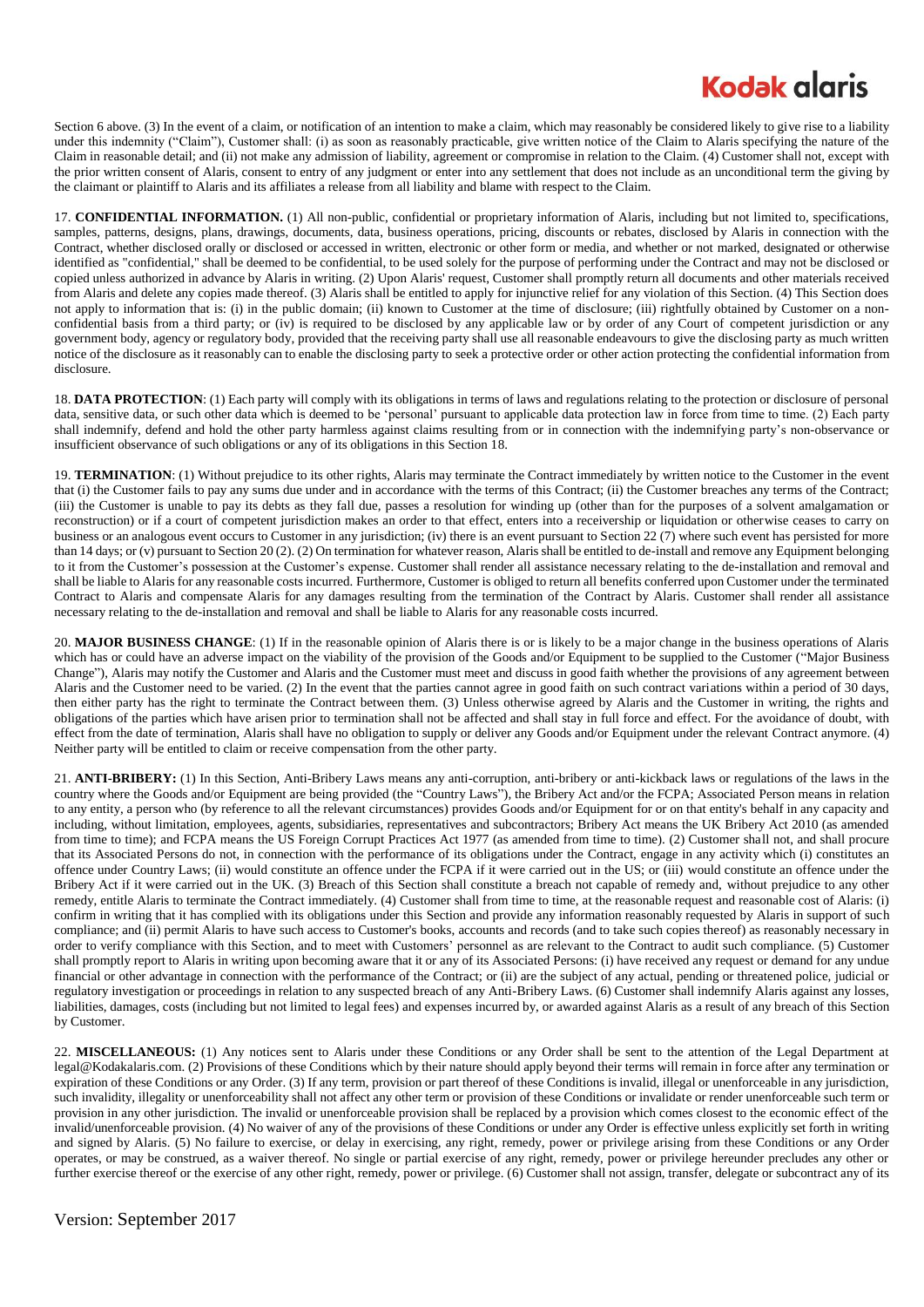## **Kodak alaris**

Section 6 above. (3) In the event of a claim, or notification of an intention to make a claim, which may reasonably be considered likely to give rise to a liability under this indemnity ("Claim"), Customer shall: (i) as soon as reasonably practicable, give written notice of the Claim to Alaris specifying the nature of the Claim in reasonable detail; and (ii) not make any admission of liability, agreement or compromise in relation to the Claim. (4) Customer shall not, except with the prior written consent of Alaris, consent to entry of any judgment or enter into any settlement that does not include as an unconditional term the giving by the claimant or plaintiff to Alaris and its affiliates a release from all liability and blame with respect to the Claim.

17. **CONFIDENTIAL INFORMATION.** (1) All non-public, confidential or proprietary information of Alaris, including but not limited to, specifications, samples, patterns, designs, plans, drawings, documents, data, business operations, pricing, discounts or rebates, disclosed by Alaris in connection with the Contract, whether disclosed orally or disclosed or accessed in written, electronic or other form or media, and whether or not marked, designated or otherwise identified as "confidential," shall be deemed to be confidential, to be used solely for the purpose of performing under the Contract and may not be disclosed or copied unless authorized in advance by Alaris in writing. (2) Upon Alaris' request, Customer shall promptly return all documents and other materials received from Alaris and delete any copies made thereof. (3) Alaris shall be entitled to apply for injunctive relief for any violation of this Section. (4) This Section does not apply to information that is: (i) in the public domain; (ii) known to Customer at the time of disclosure; (iii) rightfully obtained by Customer on a nonconfidential basis from a third party; or (iv) is required to be disclosed by any applicable law or by order of any Court of competent jurisdiction or any government body, agency or regulatory body, provided that the receiving party shall use all reasonable endeavours to give the disclosing party as much written notice of the disclosure as it reasonably can to enable the disclosing party to seek a protective order or other action protecting the confidential information from disclosure.

18. **DATA PROTECTION**: (1) Each party will comply with its obligations in terms of laws and regulations relating to the protection or disclosure of personal data, sensitive data, or such other data which is deemed to be 'personal' pursuant to applicable data protection law in force from time to time. (2) Each party shall indemnify, defend and hold the other party harmless against claims resulting from or in connection with the indemnifying party's non-observance or insufficient observance of such obligations or any of its obligations in this Section 18.

19. **TERMINATION**: (1) Without prejudice to its other rights, Alaris may terminate the Contract immediately by written notice to the Customer in the event that (i) the Customer fails to pay any sums due under and in accordance with the terms of this Contract; (ii) the Customer breaches any terms of the Contract; (iii) the Customer is unable to pay its debts as they fall due, passes a resolution for winding up (other than for the purposes of a solvent amalgamation or reconstruction) or if a court of competent jurisdiction makes an order to that effect, enters into a receivership or liquidation or otherwise ceases to carry on business or an analogous event occurs to Customer in any jurisdiction; (iv) there is an event pursuant to Section 22 (7) where such event has persisted for more than 14 days; or (v) pursuant to Section 20 (2). (2) On termination for whatever reason, Alaris shall be entitled to de-install and remove any Equipment belonging to it from the Customer's possession at the Customer's expense. Customer shall render all assistance necessary relating to the de-installation and removal and shall be liable to Alaris for any reasonable costs incurred. Furthermore, Customer is obliged to return all benefits conferred upon Customer under the terminated Contract to Alaris and compensate Alaris for any damages resulting from the termination of the Contract by Alaris. Customer shall render all assistance necessary relating to the de-installation and removal and shall be liable to Alaris for any reasonable costs incurred.

20. **MAJOR BUSINESS CHANGE**: (1) If in the reasonable opinion of Alaris there is or is likely to be a major change in the business operations of Alaris which has or could have an adverse impact on the viability of the provision of the Goods and/or Equipment to be supplied to the Customer ("Major Business") Change"), Alaris may notify the Customer and Alaris and the Customer must meet and discuss in good faith whether the provisions of any agreement between Alaris and the Customer need to be varied. (2) In the event that the parties cannot agree in good faith on such contract variations within a period of 30 days, then either party has the right to terminate the Contract between them. (3) Unless otherwise agreed by Alaris and the Customer in writing, the rights and obligations of the parties which have arisen prior to termination shall not be affected and shall stay in full force and effect. For the avoidance of doubt, with effect from the date of termination, Alaris shall have no obligation to supply or deliver any Goods and/or Equipment under the relevant Contract anymore. (4) Neither party will be entitled to claim or receive compensation from the other party.

21. **ANTI-BRIBERY:** (1) In this Section, Anti-Bribery Laws means any anti-corruption, anti-bribery or anti-kickback laws or regulations of the laws in the country where the Goods and/or Equipment are being provided (the "Country Laws"), the Bribery Act and/or the FCPA; Associated Person means in relation to any entity, a person who (by reference to all the relevant circumstances) provides Goods and/or Equipment for or on that entity's behalf in any capacity and including, without limitation, employees, agents, subsidiaries, representatives and subcontractors; Bribery Act means the UK Bribery Act 2010 (as amended from time to time); and FCPA means the US Foreign Corrupt Practices Act 1977 (as amended from time to time). (2) Customer shall not, and shall procure that its Associated Persons do not, in connection with the performance of its obligations under the Contract, engage in any activity which (i) constitutes an offence under Country Laws; (ii) would constitute an offence under the FCPA if it were carried out in the US; or (iii) would constitute an offence under the Bribery Act if it were carried out in the UK. (3) Breach of this Section shall constitute a breach not capable of remedy and, without prejudice to any other remedy, entitle Alaris to terminate the Contract immediately. (4) Customer shall from time to time, at the reasonable request and reasonable cost of Alaris: (i) confirm in writing that it has complied with its obligations under this Section and provide any information reasonably requested by Alaris in support of such compliance; and (ii) permit Alaris to have such access to Customer's books, accounts and records (and to take such copies thereof) as reasonably necessary in order to verify compliance with this Section, and to meet with Customers' personnel as are relevant to the Contract to audit such compliance. (5) Customer shall promptly report to Alaris in writing upon becoming aware that it or any of its Associated Persons: (i) have received any request or demand for any undue financial or other advantage in connection with the performance of the Contract; or (ii) are the subject of any actual, pending or threatened police, judicial or regulatory investigation or proceedings in relation to any suspected breach of any Anti-Bribery Laws. (6) Customer shall indemnify Alaris against any losses, liabilities, damages, costs (including but not limited to legal fees) and expenses incurred by, or awarded against Alaris as a result of any breach of this Section by Customer.

22. **MISCELLANEOUS:** (1) Any notices sent to Alaris under these Conditions or any Order shall be sent to the attention of the Legal Department at legal@Kodakalaris.com. (2) Provisions of these Conditions which by their nature should apply beyond their terms will remain in force after any termination or expiration of these Conditions or any Order. (3) If any term, provision or part thereof of these Conditions is invalid, illegal or unenforceable in any jurisdiction, such invalidity, illegality or unenforceability shall not affect any other term or provision of these Conditions or invalidate or render unenforceable such term or provision in any other jurisdiction. The invalid or unenforceable provision shall be replaced by a provision which comes closest to the economic effect of the invalid/unenforceable provision. (4) No waiver of any of the provisions of these Conditions or under any Order is effective unless explicitly set forth in writing and signed by Alaris. (5) No failure to exercise, or delay in exercising, any right, remedy, power or privilege arising from these Conditions or any Order operates, or may be construed, as a waiver thereof. No single or partial exercise of any right, remedy, power or privilege hereunder precludes any other or further exercise thereof or the exercise of any other right, remedy, power or privilege. (6) Customer shall not assign, transfer, delegate or subcontract any of its